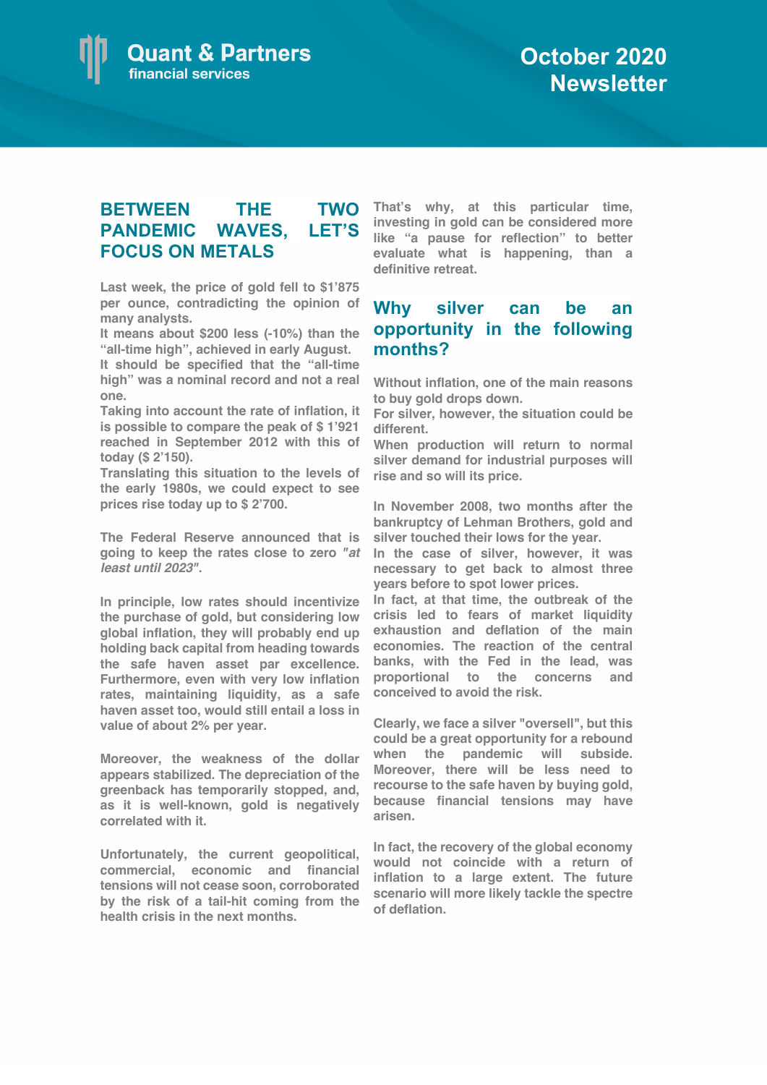### **BETWEEN THE TWO PANDEMIC WAVES, LET'S FOCUS ON METALS**

**Last week, the price of gold fell to \$1'875 per ounce, contradicting the opinion of many analysts.** 

**It means about \$200 less (-10%) than the "all-time high", achieved in early August.** 

**It should be specified that the "all-time high" was a nominal record and not a real one.** 

**Taking into account the rate of inflation, it is possible to compare the peak of \$ 1'921 reached in September 2012 with this of today (\$ 2'150).** 

**Translating this situation to the levels of the early 1980s, we could expect to see prices rise today up to \$ 2'700.** 

**The Federal Reserve announced that is going to keep the rates close to zero** *"at least until 2023"***.** 

**In principle, low rates should incentivize the purchase of gold, but considering low global inflation, they will probably end up holding back capital from heading towards the safe haven asset par excellence. Furthermore, even with very low inflation rates, maintaining liquidity, as a safe haven asset too, would still entail a loss in value of about 2% per year.** 

**Moreover, the weakness of the dollar appears stabilized. The depreciation of the greenback has temporarily stopped, and, as it is well-known, gold is negatively correlated with it.**

**Unfortunately, the current geopolitical, commercial, economic and financial tensions will not cease soon, corroborated by the risk of a tail-hit coming from the health crisis in the next months.**

**That's why, at this particular time, investing in gold can be considered more like "a pause for reflection" to better evaluate what is happening, than a definitive retreat.**

#### **Why silver can be an opportunity in the following months?**

**Without inflation, one of the main reasons to buy gold drops down.** 

**For silver, however, the situation could be different.** 

**When production will return to normal silver demand for industrial purposes will rise and so will its price.** 

**In November 2008, two months after the bankruptcy of Lehman Brothers, gold and silver touched their lows for the year.** 

**In the case of silver, however, it was necessary to get back to almost three years before to spot lower prices.** 

**In fact, at that time, the outbreak of the crisis led to fears of market liquidity exhaustion and deflation of the main economies. The reaction of the central banks, with the Fed in the lead, was proportional to the concerns and conceived to avoid the risk.** 

**Clearly, we face a silver "oversell", but this could be a great opportunity for a rebound when the pandemic will subside. Moreover, there will be less need to recourse to the safe haven by buying gold, because financial tensions may have arisen.** 

**In fact, the recovery of the global economy would not coincide with a return of inflation to a large extent. The future scenario will more likely tackle the spectre of deflation.**